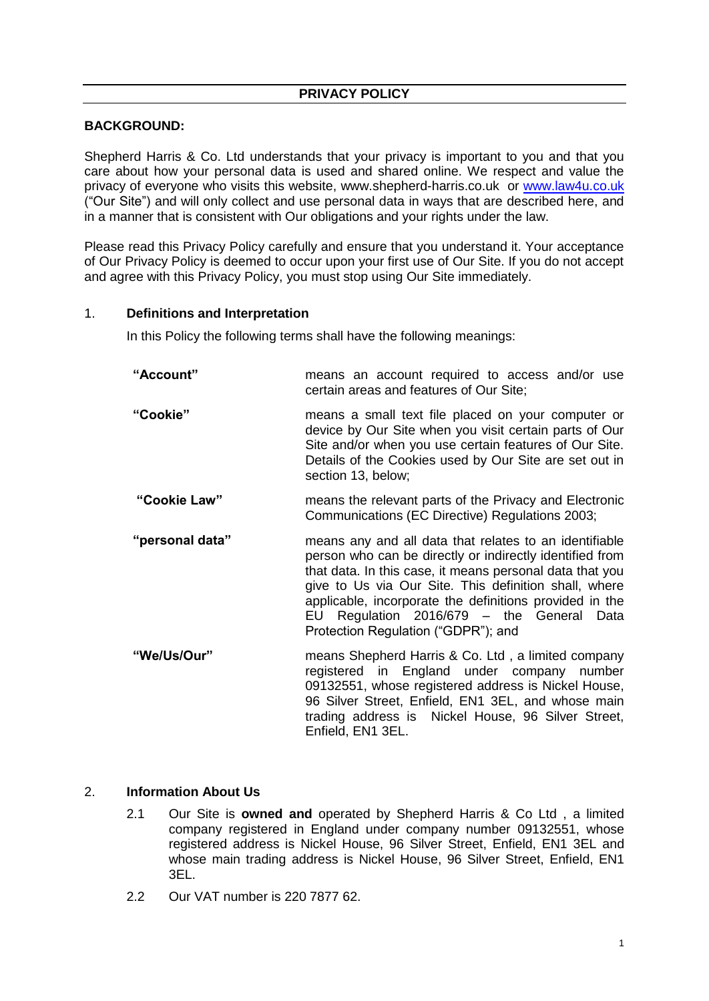# **BACKGROUND:**

Shepherd Harris & Co. Ltd understands that your privacy is important to you and that you care about how your personal data is used and shared online. We respect and value the privacy of everyone who visits this website, www.shepherd-harris.co.uk or [www.law4u.co.uk](http://www.law4u.co.uk/) ("Our Site") and will only collect and use personal data in ways that are described here, and in a manner that is consistent with Our obligations and your rights under the law.

Please read this Privacy Policy carefully and ensure that you understand it. Your acceptance of Our Privacy Policy is deemed to occur upon your first use of Our Site. If you do not accept and agree with this Privacy Policy, you must stop using Our Site immediately.

#### 1. **Definitions and Interpretation**

In this Policy the following terms shall have the following meanings:

| "Account"       | means an account required to access and/or use<br>certain areas and features of Our Site;                                                                                                                                                                                                                                                                                              |
|-----------------|----------------------------------------------------------------------------------------------------------------------------------------------------------------------------------------------------------------------------------------------------------------------------------------------------------------------------------------------------------------------------------------|
| "Cookie"        | means a small text file placed on your computer or<br>device by Our Site when you visit certain parts of Our<br>Site and/or when you use certain features of Our Site.<br>Details of the Cookies used by Our Site are set out in<br>section 13, below;                                                                                                                                 |
| "Cookie Law"    | means the relevant parts of the Privacy and Electronic<br>Communications (EC Directive) Regulations 2003;                                                                                                                                                                                                                                                                              |
| "personal data" | means any and all data that relates to an identifiable<br>person who can be directly or indirectly identified from<br>that data. In this case, it means personal data that you<br>give to Us via Our Site. This definition shall, where<br>applicable, incorporate the definitions provided in the<br>EU Regulation 2016/679 - the General Data<br>Protection Regulation ("GDPR"); and |
| "We/Us/Our"     | means Shepherd Harris & Co. Ltd, a limited company<br>registered in England under company number<br>09132551, whose registered address is Nickel House.                                                                                                                                                                                                                                |

09132551, whose registered address is Nickel House, 96 Silver Street, Enfield, EN1 3EL, and whose main trading address is Nickel House, 96 Silver Street, Enfield, EN1 3EL.

#### 2. **Information About Us**

- 2.1 Our Site is **owned and** operated by Shepherd Harris & Co Ltd , a limited company registered in England under company number 09132551, whose registered address is Nickel House, 96 Silver Street, Enfield, EN1 3EL and whose main trading address is Nickel House, 96 Silver Street, Enfield, EN1 3EL.
- 2.2 Our VAT number is 220 7877 62.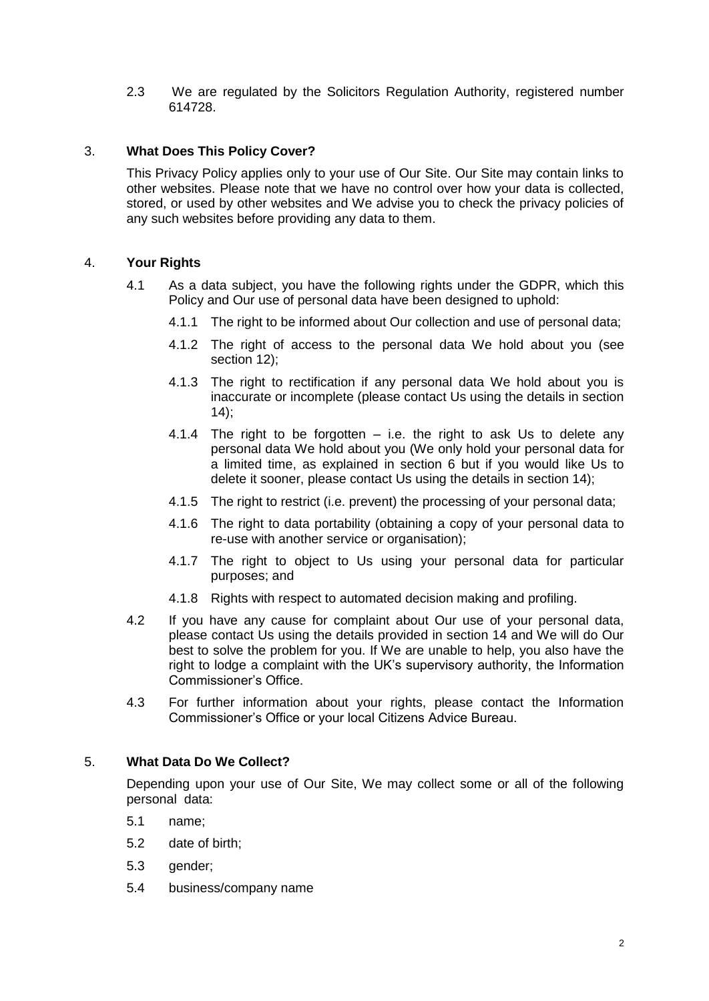2.3 We are regulated by the Solicitors Regulation Authority, registered number 614728.

# 3. **What Does This Policy Cover?**

This Privacy Policy applies only to your use of Our Site. Our Site may contain links to other websites. Please note that we have no control over how your data is collected, stored, or used by other websites and We advise you to check the privacy policies of any such websites before providing any data to them.

## 4. **Your Rights**

- 4.1 As a data subject, you have the following rights under the GDPR, which this Policy and Our use of personal data have been designed to uphold:
	- 4.1.1 The right to be informed about Our collection and use of personal data;
	- 4.1.2 The right of access to the personal data We hold about you (see section 12);
	- 4.1.3 The right to rectification if any personal data We hold about you is inaccurate or incomplete (please contact Us using the details in section  $14$ :
	- 4.1.4 The right to be forgotten  $-$  i.e. the right to ask Us to delete any personal data We hold about you (We only hold your personal data for a limited time, as explained in section 6 but if you would like Us to delete it sooner, please contact Us using the details in section 14);
	- 4.1.5 The right to restrict (i.e. prevent) the processing of your personal data;
	- 4.1.6 The right to data portability (obtaining a copy of your personal data to re-use with another service or organisation);
	- 4.1.7 The right to object to Us using your personal data for particular purposes; and
	- 4.1.8 Rights with respect to automated decision making and profiling.
- 4.2 If you have any cause for complaint about Our use of your personal data, please contact Us using the details provided in section 14 and We will do Our best to solve the problem for you. If We are unable to help, you also have the right to lodge a complaint with the UK's supervisory authority, the Information Commissioner's Office.
- 4.3 For further information about your rights, please contact the Information Commissioner's Office or your local Citizens Advice Bureau.

## 5. **What Data Do We Collect?**

Depending upon your use of Our Site, We may collect some or all of the following personal data:

- 5.1 name;
- 5.2 date of birth;
- 5.3 gender;
- 5.4 business/company name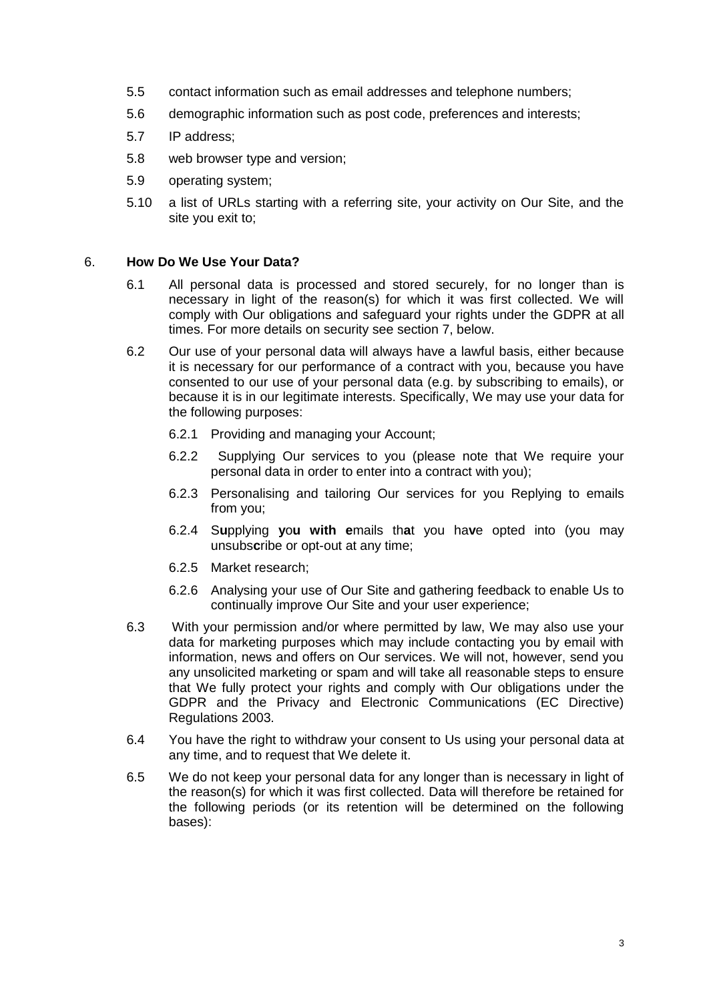- 5.5 contact information such as email addresses and telephone numbers;
- 5.6 demographic information such as post code, preferences and interests;
- 5.7 IP address;
- 5.8 web browser type and version;
- 5.9 operating system;
- 5.10 a list of URLs starting with a referring site, your activity on Our Site, and the site you exit to;

#### 6. **How Do We Use Your Data?**

- 6.1 All personal data is processed and stored securely, for no longer than is necessary in light of the reason(s) for which it was first collected. We will comply with Our obligations and safeguard your rights under the GDPR at all times. For more details on security see section 7, below.
- 6.2 Our use of your personal data will always have a lawful basis, either because it is necessary for our performance of a contract with you, because you have consented to our use of your personal data (e.g. by subscribing to emails), or because it is in our legitimate interests. Specifically, We may use your data for the following purposes:
	- 6.2.1 Providing and managing your Account;
	- 6.2.2Supplying Our services to you (please note that We require your personal data in order to enter into a contract with you);
	- 6.2.3 Personalising and tailoring Our services for you Replying to emails from you;
	- 6.2.4 S**u**pplying **y**o**u with e**mails th**a**t you ha**v**e opted into (you may unsubs**c**ribe or opt-out at any time;
	- 6.2.5 Market research;
	- 6.2.6 Analysing your use of Our Site and gathering feedback to enable Us to continually improve Our Site and your user experience;
- 6.3 With your permission and/or where permitted by law, We may also use your data for marketing purposes which may include contacting you by email with information, news and offers on Our services. We will not, however, send you any unsolicited marketing or spam and will take all reasonable steps to ensure that We fully protect your rights and comply with Our obligations under the GDPR and the Privacy and Electronic Communications (EC Directive) Regulations 2003.
- 6.4 You have the right to withdraw your consent to Us using your personal data at any time, and to request that We delete it.
- 6.5 We do not keep your personal data for any longer than is necessary in light of the reason(s) for which it was first collected. Data will therefore be retained for the following periods (or its retention will be determined on the following bases):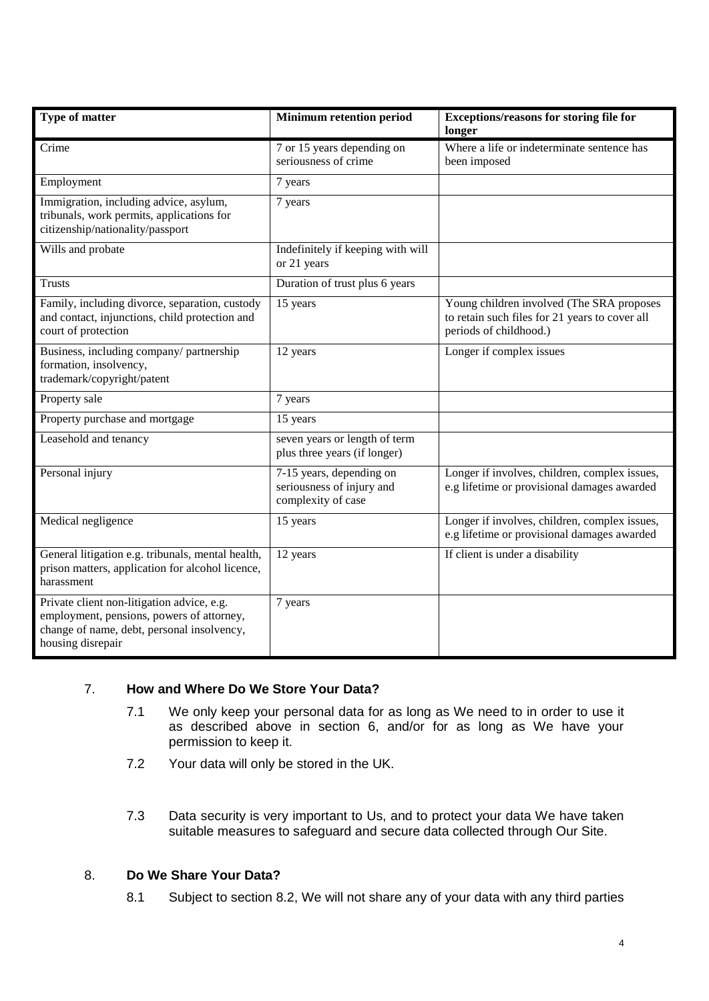| Type of matter                                                                                                                                             | <b>Minimum retention period</b>                                             | Exceptions/reasons for storing file for<br>longer                                                                     |
|------------------------------------------------------------------------------------------------------------------------------------------------------------|-----------------------------------------------------------------------------|-----------------------------------------------------------------------------------------------------------------------|
| Crime                                                                                                                                                      | 7 or 15 years depending on<br>seriousness of crime                          | Where a life or indeterminate sentence has<br>been imposed                                                            |
| Employment                                                                                                                                                 | 7 years                                                                     |                                                                                                                       |
| Immigration, including advice, asylum,<br>tribunals, work permits, applications for<br>citizenship/nationality/passport                                    | 7 years                                                                     |                                                                                                                       |
| Wills and probate                                                                                                                                          | Indefinitely if keeping with will<br>or 21 years                            |                                                                                                                       |
| <b>Trusts</b>                                                                                                                                              | Duration of trust plus 6 years                                              |                                                                                                                       |
| Family, including divorce, separation, custody<br>and contact, injunctions, child protection and<br>court of protection                                    | 15 years                                                                    | Young children involved (The SRA proposes<br>to retain such files for 21 years to cover all<br>periods of childhood.) |
| Business, including company/ partnership<br>formation, insolvency,<br>trademark/copyright/patent                                                           | 12 years                                                                    | Longer if complex issues                                                                                              |
| Property sale                                                                                                                                              | 7 years                                                                     |                                                                                                                       |
| Property purchase and mortgage                                                                                                                             | 15 years                                                                    |                                                                                                                       |
| Leasehold and tenancy                                                                                                                                      | seven years or length of term<br>plus three years (if longer)               |                                                                                                                       |
| Personal injury                                                                                                                                            | 7-15 years, depending on<br>seriousness of injury and<br>complexity of case | Longer if involves, children, complex issues,<br>e.g lifetime or provisional damages awarded                          |
| Medical negligence                                                                                                                                         | 15 years                                                                    | Longer if involves, children, complex issues,<br>e.g lifetime or provisional damages awarded                          |
| General litigation e.g. tribunals, mental health,<br>prison matters, application for alcohol licence,<br>harassment                                        | 12 years                                                                    | If client is under a disability                                                                                       |
| Private client non-litigation advice, e.g.<br>employment, pensions, powers of attorney,<br>change of name, debt, personal insolvency,<br>housing disrepair | 7 years                                                                     |                                                                                                                       |

# 7. **How and Where Do We Store Your Data?**

- 7.1 We only keep your personal data for as long as We need to in order to use it as described above in section 6, and/or for as long as We have your permission to keep it.
- 7.2 Your data will only be stored in the UK.
- 7.3 Data security is very important to Us, and to protect your data We have taken suitable measures to safeguard and secure data collected through Our Site.

## 8. **Do We Share Your Data?**

8.1 Subject to section 8.2, We will not share any of your data with any third parties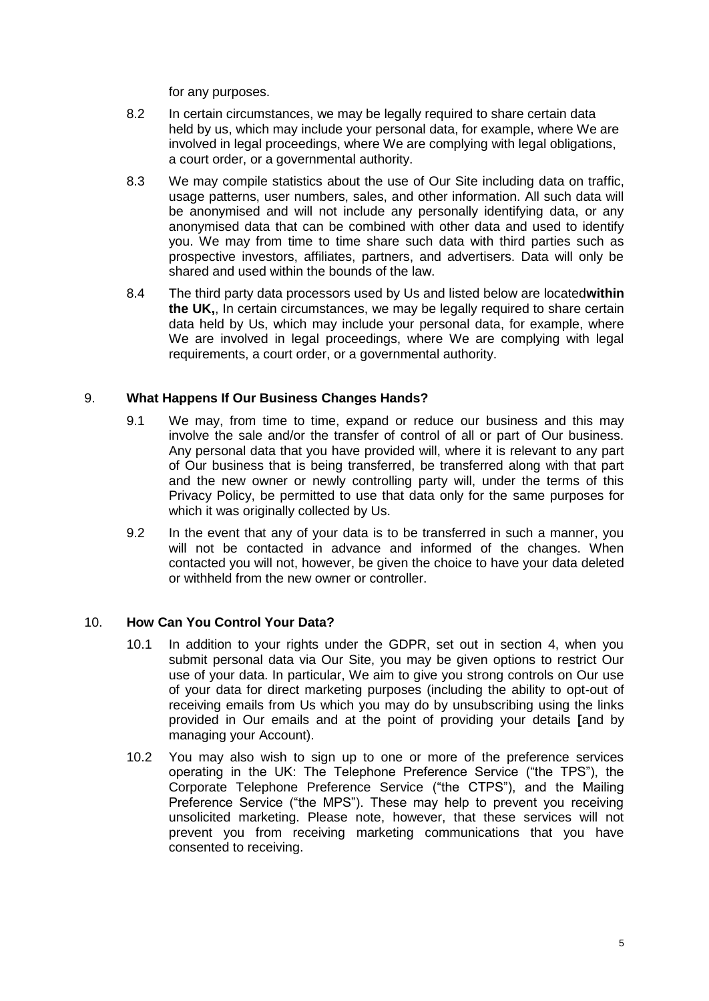for any purposes.

- 8.2 In certain circumstances, we may be legally required to share certain data held by us, which may include your personal data, for example, where We are involved in legal proceedings, where We are complying with legal obligations, a court order, or a governmental authority.
- 8.3 We may compile statistics about the use of Our Site including data on traffic, usage patterns, user numbers, sales, and other information. All such data will be anonymised and will not include any personally identifying data, or any anonymised data that can be combined with other data and used to identify you. We may from time to time share such data with third parties such as prospective investors, affiliates, partners, and advertisers. Data will only be shared and used within the bounds of the law.
- 8.4 The third party data processors used by Us and listed below are located**within the UK,**, In certain circumstances, we may be legally required to share certain data held by Us, which may include your personal data, for example, where We are involved in legal proceedings, where We are complying with legal requirements, a court order, or a governmental authority.

# 9. **What Happens If Our Business Changes Hands?**

- 9.1 We may, from time to time, expand or reduce our business and this may involve the sale and/or the transfer of control of all or part of Our business. Any personal data that you have provided will, where it is relevant to any part of Our business that is being transferred, be transferred along with that part and the new owner or newly controlling party will, under the terms of this Privacy Policy, be permitted to use that data only for the same purposes for which it was originally collected by Us.
- 9.2 In the event that any of your data is to be transferred in such a manner, you will not be contacted in advance and informed of the changes. When contacted you will not, however, be given the choice to have your data deleted or withheld from the new owner or controller.

## 10. **How Can You Control Your Data?**

- 10.1 In addition to your rights under the GDPR, set out in section 4, when you submit personal data via Our Site, you may be given options to restrict Our use of your data. In particular, We aim to give you strong controls on Our use of your data for direct marketing purposes (including the ability to opt-out of receiving emails from Us which you may do by unsubscribing using the links provided in Our emails and at the point of providing your details **[**and by managing your Account).
- 10.2 You may also wish to sign up to one or more of the preference services operating in the UK: The Telephone Preference Service ("the TPS"), the Corporate Telephone Preference Service ("the CTPS"), and the Mailing Preference Service ("the MPS"). These may help to prevent you receiving unsolicited marketing. Please note, however, that these services will not prevent you from receiving marketing communications that you have consented to receiving.